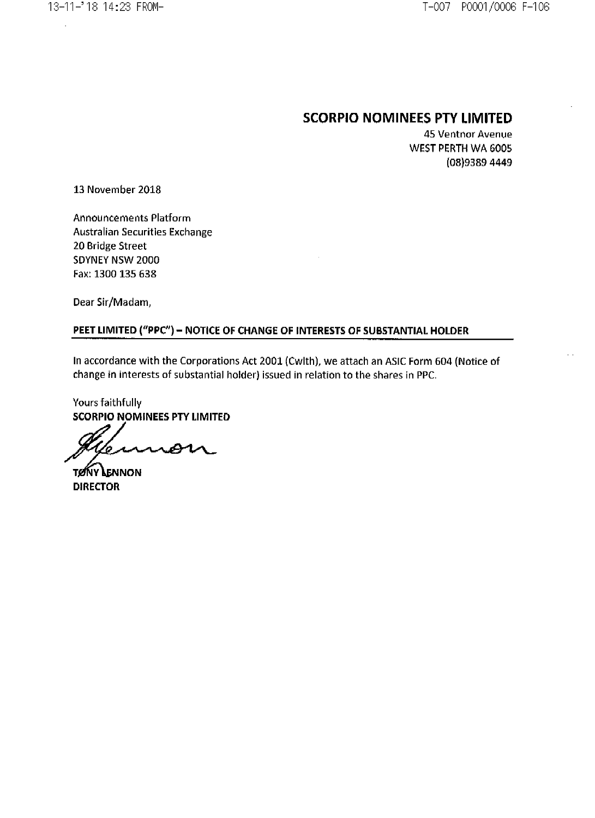# SCORPIO NOMINEES PIY LIMITED

45 Ventnor Avenue WEST PERTH WA 6005 (08)9389 4449

13 November 2018

Announcements Platform Australian Securities Exchange 20 Bridge Street SDYNEY NSW 2000 Fax: 1300 135 638

Dear Sir/Madam,

# PEET LIMITED ("PPC") - NOTICE OF CHANGE OF INTERESTS OF SUBSTANTIAL HOLDER

In accordance with the Corporations Act 2001 (Cwlth), we attach an ASIC Form 604 (Notice of change in interests of substantial holder) issued in relation to the shares in PPC.

Yours faithfully SCORPIO NOMINEES PTY LIMITED

€

**TONY LENNON** DIRECTOR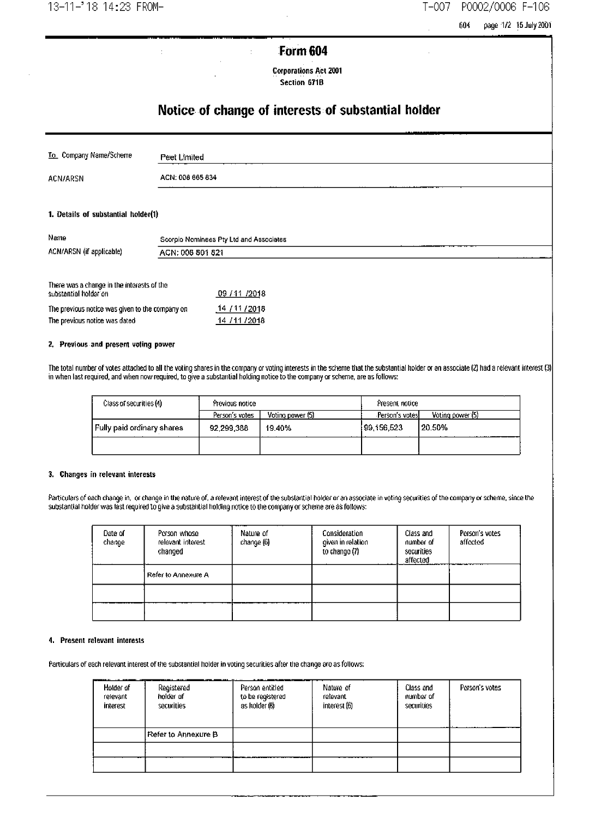13-11-'18 14:23 FROM-

#### $T-007$ P0002/0006 F-106

604 page 1/2 15 July 2001

# Form 604

÷

**Corporations Act 2001** Section 671B

# Notice of change of interests of substantial holder

| To. Company Name/Scheme | Peet Limited     |
|-------------------------|------------------|
| ACN/ARSN                | ACN: 008 665 834 |
|                         | .                |

### 1. Details of substantial holder(1)

| Name                     | Scorpio Nominees Pty Ltd and Associates |
|--------------------------|-----------------------------------------|
| ACN/ARSN (if applicable) | ACN: 008 801 821                        |
|                          |                                         |

| There was a change in the interests of the<br>substantial holder on | 09 / 11 / 2018 |
|---------------------------------------------------------------------|----------------|
| The previous notice was given to the company on                     | 14 / 11 / 2018 |
| The previous notice was dated                                       | 14 / 11 / 2018 |

ł

### 2. Previous and present voting power

The total number of votes attached to all the voting shares in the company or voting interests in the scheme that the substantial holder or an associate (2) had a relevant interest (3) in when last required, and when now r

| Class of securities (4)    | Previous notice |                  | Present notice  |                  |
|----------------------------|-----------------|------------------|-----------------|------------------|
|                            | Person's votes  | Voting power (5) | Person's votes! | Voting power (5) |
| Fully paid ordinary shares | 92.299.388      | 19.40%           | 99.156.523      | 20.50%           |
|                            |                 |                  |                 |                  |

### 3. Changes in relevant interests

Particulars of each change in, or change in the nature of, a relevant interest of the substantial holder or an associate in voting securities of the company or scheme, since the substantial holder was last required to give

| Date of<br>change | Person whose<br>relevant interest<br>changed | Nature of<br>change (6) | Consideration<br>given in relation<br>to change (7) | Class and<br>number of<br>securities<br>affected | Person's votes<br>affected |
|-------------------|----------------------------------------------|-------------------------|-----------------------------------------------------|--------------------------------------------------|----------------------------|
|                   | Refer to Annexure A                          |                         |                                                     |                                                  |                            |
|                   |                                              |                         |                                                     |                                                  |                            |
|                   |                                              |                         |                                                     |                                                  |                            |

### 4. Present relevant interests

Particulars of each relevant interest of the substantial holder in voting securities after the change are as follows:

| Hotder of<br>relevant<br>interest | Registered<br>holder of<br>securities | Person entitled<br>to be registered<br>as holder (8) | Nature of<br>relevant<br>interest (6) | Class and<br>number of<br>securities | Person's votes |
|-----------------------------------|---------------------------------------|------------------------------------------------------|---------------------------------------|--------------------------------------|----------------|
|                                   | Refer to Annexure B                   |                                                      |                                       |                                      |                |
|                                   |                                       |                                                      |                                       |                                      |                |
|                                   |                                       |                                                      |                                       |                                      |                |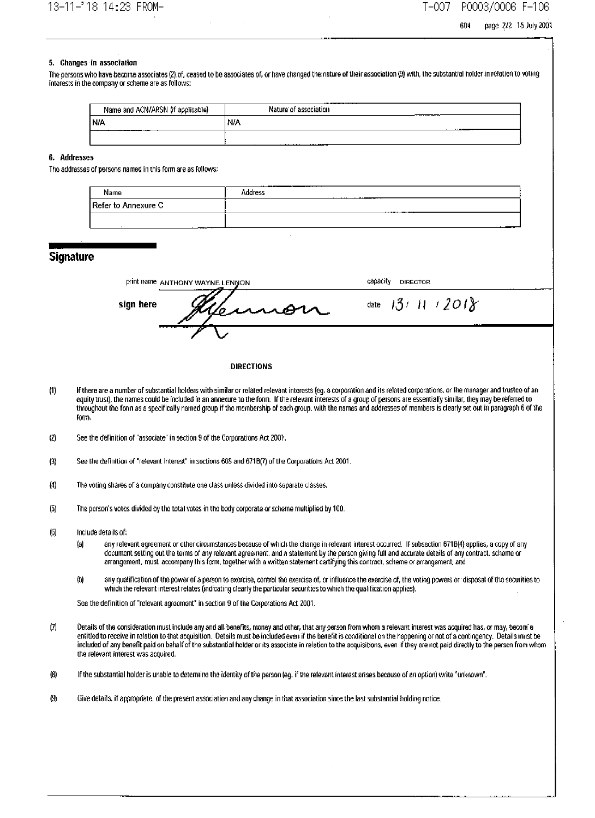#### T-007 P0003/0006 F-106

page 2/2 15 July 2001 604

### 5. Changes in association

The ocrsons who have become associates (2) of, ceased to be associates of, or have changed the nature of their association (9) with, the substantial holder in relation to voting interests in the company or scheme are as follows:

| Name and ACN/ARSN (if applicable) | ------------<br>Nature of association<br>________ |
|-----------------------------------|---------------------------------------------------|
| N/A                               | N/A<br>والمستحدث                                  |
| ________                          | .                                                 |

#### 6. Addresses

The addresses of persons named in this form are as follows:

| Name                | _____<br>Address |                       |  |
|---------------------|------------------|-----------------------|--|
| Refer to Annexure C |                  | _____________________ |  |
| ------              |                  |                       |  |

### **Signature**

| print name ANTHONY WAYNE LENNON | capacity<br><b>DIRECTOR</b>                    |
|---------------------------------|------------------------------------------------|
| sign here<br>Vennon             | $\left(11/201\right)$<br>137<br>date<br>$\sim$ |
|                                 |                                                |

### DIRECTIONS

- $(1)$ If there are a number of substantial holders with similar or related relevant interests (eq. a corporation and its related corporations, or the manager and trusteo of an equity trust), the names could be included in an annexure to the form. If the relevant interests of a group of persons are essentially similar, they may be referred to throughout the form as a specifically named group if the membership of each group, with the names and addresses of members is clearly set out in paragraph 6 of the form.
- See the definition of "associate" in section 9 of the Corporations Act 2001.  $\omega$
- $\left( 3\right)$ See the definition of "relevant interest" in sections 608 and 671B(7) of the Corporations Act 2001.
- $(4)$ The voting shares of a company constitute one class unless divided into separate classes.
- The person's votes divided by the total votes in the body corporate or scheme multiplied by 100.  $(5)$
- Include details of:  $<sup>6</sup>$ </sup>
	- any relevant agreement or other circumstances because of which the change in relevant interest occurred. If subsection 671B(4) applies, a copy of any (a) document setting out the terms of any relevant agreement, and a statement by the person giving full and accurate details of any contract, scheme or arrangement, must accompany this form, together with a written statement certifying this contract, scheme or arrangement; and
	- any qualification of the power of a person to exercise, control the exercise of, or influence the exercise of, the voting powers or 'disposal of the securities to  $<sub>0</sub>$ </sub> which the relevant interest relates (indicating clearly the particular securities to which the qualification applies).

See the definition of "relevant agreement" in section 9 of the Corporations Act 2001.

- $(7)$ Details of the consideration must include any and all benefits, money and other, that any person from whom a relevant interest was acquired has, or may, becom e entitled to receive in relation to that acquisition. Details must be included even if the benefit is conditional on the happening or not of a contingency. Details must be included of any benefit paid on behalf of the substantial holder or its associate in relation to the acquisitions, even if they are not paid directly to the person from whom the relevant interest was acquired.
- $(8)$ If the substantial holder is unable to determine the identity of the person (eq. if the relevant interest arises because of an option) write "unknown".
- $(9)$ Give details, if appropriate, of the present association and any change in that association since the last substantial holding notice.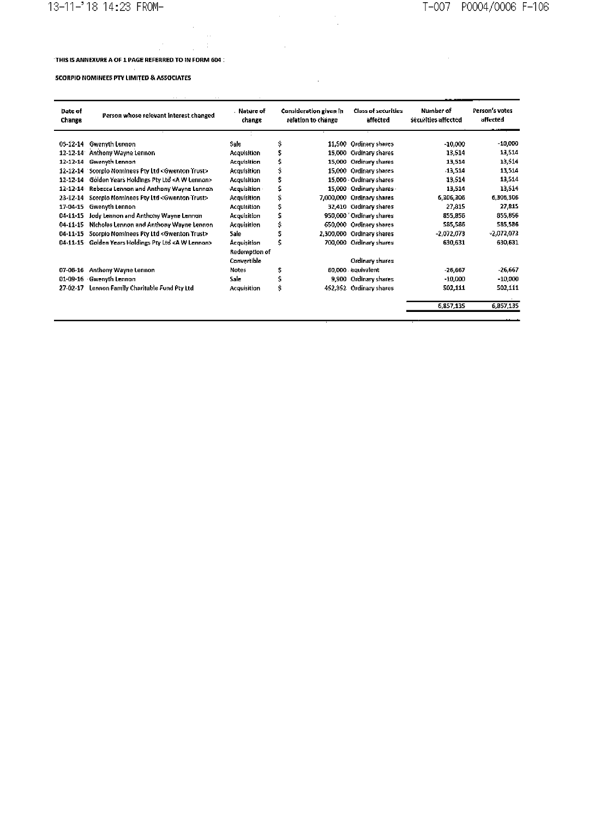$\sim 10$ 

### THIS IS ANNEXURE A OF 1 PAGE REFERRED TO IN FORM 604 :

 $\bar{\beta}$ 

 $\mathcal{A}^{\text{max}}_{\text{max}}$  and  $\mathcal{A}^{\text{max}}_{\text{max}}$ 

 $\sim$  .

### **SCORPIO NOMINEES PTY LIMITED & ASSOCIATES**

| $\sim$<br>$\sim$ $\sim$ |                                                       |                              |     |                                                     |                                        |                                  |                            |
|-------------------------|-------------------------------------------------------|------------------------------|-----|-----------------------------------------------------|----------------------------------------|----------------------------------|----------------------------|
| Date of<br>Change       | Person whose relevant interest changed                | . Nature of<br>change        |     | <b>Consideration given in</b><br>relation to change | <b>Class of securities</b><br>affected | Number of<br>securities affected | Person's votes<br>affected |
| $05-12-14$              | <b>Gwenvth Lennon</b>                                 | Sale                         | \$  | 11,500                                              | <b>Ordinary shares</b>                 | $-10,000$                        | $-10,000$                  |
| 12-12-14                | Anthony Wayne Lennon                                  | Acquisition                  | \$  |                                                     | 15,000 Ordinary shares                 | 13,514                           | 13,514                     |
| 12-12-14                | Gwenyth Lennon                                        | Acquisition                  | \$  | 15,000                                              | Ordinary shares                        | 13,514                           | 13,514                     |
| 12-12-14                | Scorpio Nominees Pty Ltd <gwenton trust=""></gwenton> | <b>Acquisition</b>           | \$  | 15,000                                              | Ordinary shares                        | -13,514                          | 13,514                     |
| 12-12-14                | Golden Years Holdings Pty Ltd <a lennon="" w=""></a>  | Acquisition                  | \$  |                                                     | 15,000 - Ordinary shares               | 13,514                           | 13,514                     |
| $12 - 12 - 14$          | Rebecca Lennon and Anthony Wayne Lennon               | Acquisition                  | s   |                                                     | 15,000 Ordinary shares                 | 13,514                           | 13,514                     |
| 23-12-14                | Scorpio Nominees Pty Ltd <gwenton trust=""></gwenton> | <b>Acquisition</b>           | \$  | 7,000,000                                           | Ordinary shares                        | 6,306,306                        | 5,306,306                  |
| 17-04-15                | Gwenyth Lennon                                        | Acquisition                  | \$  |                                                     | 32,410 Ordinary shares                 | 27,815                           | 27,815                     |
| $04 - 11 - 15$          | Jody Lennon and Anthony Wayne Lennon                  | Acquisition                  | \$  |                                                     | 950,000 TOrdinary shares               | 855,856                          | 855,856                    |
| $04 - 11 - 15$          | Nicholas Lennon and Anthony Wayne Lennon              | <b>Acquisition</b>           | \$  | 650,000                                             | Ordinary shares                        | 585,586                          | 585,586                    |
| $04 - 11 - 15$          | Scorpio Nominees Pty Ltd <gwenton trust=""></gwenton> | Sale                         | \$  |                                                     | 2,300,000 Ordinary shares              | -2.072.073                       | $-2,072,073$               |
| 04-11-15                | Golden Years Holdings Pty Ltd <a lennon="" w=""></a>  | Acquisition<br>Redemption of | Ś   |                                                     | 700,000 Ordinary shares                | 630,631                          | 630,631                    |
|                         |                                                       | Convertible                  |     |                                                     | Ordinary shares                        |                                  |                            |
| 07-06-16                | Anthony Wayne Lennon                                  | <b>Notes</b>                 | \$  |                                                     | 60,000 equivalent                      | $-26,667$                        | $-26,667$                  |
| 01-09-16                | · Gwenyth Lennon                                      | Sale:                        | \$, | 9,900                                               | Ordinary shares                        | $-10,000$                        | $-10,000$                  |
| 27-02-17                | Lennon Family Charitable Fund Pty Ltd                 | <b>Acquisition</b>           | Ś   | 452,352                                             | Ordinary shares                        | 502,111                          | 502,111                    |
|                         |                                                       |                              |     |                                                     |                                        | 6,857,135                        | 6,857,135                  |

 $\label{eq:2.1} \frac{1}{\sqrt{2}}\sum_{i=1}^n\frac{1}{\sqrt{2}}\left(\frac{1}{\sqrt{2}}\right)^2\left(\frac{1}{\sqrt{2}}\right)^2\left(\frac{1}{\sqrt{2}}\right)^2.$ 

 $\sim$ 

 $\label{eq:2} \frac{1}{2} \sum_{i=1}^n \frac{1}{2} \sum_{j=1}^n \frac{1}{2} \sum_{j=1}^n \frac{1}{2} \sum_{j=1}^n \frac{1}{2} \sum_{j=1}^n \frac{1}{2} \sum_{j=1}^n \frac{1}{2} \sum_{j=1}^n \frac{1}{2} \sum_{j=1}^n \frac{1}{2} \sum_{j=1}^n \frac{1}{2} \sum_{j=1}^n \frac{1}{2} \sum_{j=1}^n \frac{1}{2} \sum_{j=1}^n \frac{1}{2} \sum_{j=1}^n \frac{1}{$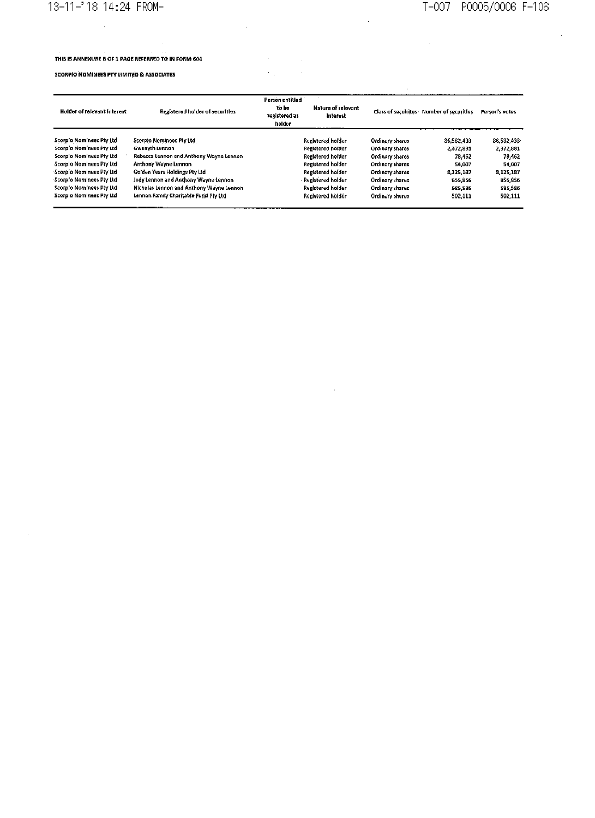# 13-11-'18 14:24 FROM- $\ddot{\phantom{0}}$

# T-007 P0005/0006 F-106

 $\hat{\boldsymbol{\beta}}$ 

## THIS IS ANNEXURE B OF 1 PAGE REFERRED TO IN FORM 604

### **SCORPIO NOMINEES PTY LIMITED & ASSOCIATES**

 $\sim$ 

| Registered holder of securities          | Person entitled<br>to bo<br>rexistered as<br>holder | Nature of relevant<br>Interest |                                                                                                                                                                             |            | Person's votes                           |
|------------------------------------------|-----------------------------------------------------|--------------------------------|-----------------------------------------------------------------------------------------------------------------------------------------------------------------------------|------------|------------------------------------------|
| Scorpio Nominees Pty Ltd.                |                                                     |                                | Ordinary shares                                                                                                                                                             | 86,582,419 | 86.582.433                               |
| <b>Gwenyth Lennon</b>                    |                                                     |                                | Ordinary shares                                                                                                                                                             | 2,372.881  | 2.372,881                                |
| Rebecca Lennon and Anthony Wayne Lennon  |                                                     |                                | Ordinary shares                                                                                                                                                             | 78,462     | 78.462                                   |
| Anthony Wayne Lennon                     |                                                     |                                | Ordinary shares                                                                                                                                                             | 54.007     | 54,007                                   |
| Golden Years Holdings Pty Ltd            |                                                     |                                | Ordinary shares                                                                                                                                                             | 8.125.187  | 8.125.187                                |
| Jody Lennon and Anthony Wayne Lennon     |                                                     |                                | Ordinary shares                                                                                                                                                             | 855,856    | 855,856                                  |
| Nicholas Lennon and Anthony Wayne Lennon |                                                     |                                | Ordinary shares                                                                                                                                                             | 585,586    | \$85,585                                 |
| Lennon Family Charitable Fund Pty Ltd    |                                                     |                                | Ordinary shares                                                                                                                                                             | 502.111    | 502,111                                  |
|                                          |                                                     |                                | Registered holder<br>Registered holder<br>Registered holder<br>Registered holder<br>Recistered holder<br>Registered holder<br><b>Registered holder</b><br>Renistered holder |            | Class of seculrites Number of securities |

 $\sim 10^{-1}$ 

 $\mathcal{A}^{\text{max}}_{\text{max}}$ 

 $\sim 10^6$ 

 $\sim 10^{11}$ 

l,

 $\mathcal{L}_{\mathcal{A}}$ 

 $\hat{\mathcal{A}}$ 

 $\mathcal{A}$